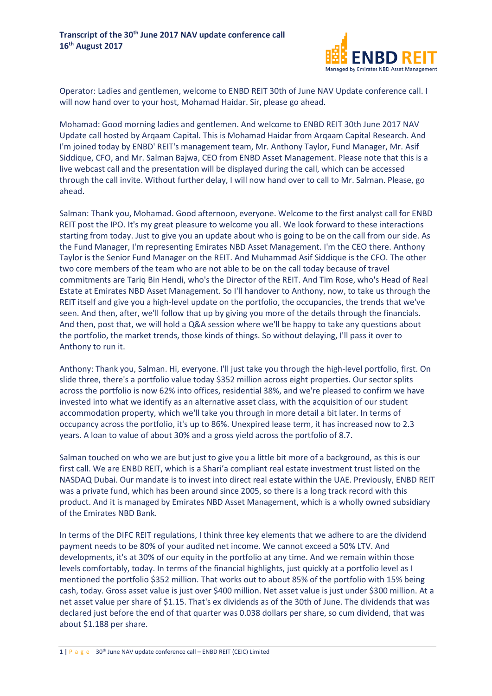

Operator: Ladies and gentlemen, welcome to ENBD REIT 30th of June NAV Update conference call. I will now hand over to your host, Mohamad Haidar. Sir, please go ahead.

Mohamad: Good morning ladies and gentlemen. And welcome to ENBD REIT 30th June 2017 NAV Update call hosted by Arqaam Capital. This is Mohamad Haidar from Arqaam Capital Research. And I'm joined today by ENBD' REIT's management team, Mr. Anthony Taylor, Fund Manager, Mr. Asif Siddique, CFO, and Mr. Salman Bajwa, CEO from ENBD Asset Management. Please note that this is a live webcast call and the presentation will be displayed during the call, which can be accessed through the call invite. Without further delay, I will now hand over to call to Mr. Salman. Please, go ahead.

Salman: Thank you, Mohamad. Good afternoon, everyone. Welcome to the first analyst call for ENBD REIT post the IPO. It's my great pleasure to welcome you all. We look forward to these interactions starting from today. Just to give you an update about who is going to be on the call from our side. As the Fund Manager, I'm representing Emirates NBD Asset Management. I'm the CEO there. Anthony Taylor is the Senior Fund Manager on the REIT. And Muhammad Asif Siddique is the CFO. The other two core members of the team who are not able to be on the call today because of travel commitments are Tariq Bin Hendi, who's the Director of the REIT. And Tim Rose, who's Head of Real Estate at Emirates NBD Asset Management. So I'll handover to Anthony, now, to take us through the REIT itself and give you a high-level update on the portfolio, the occupancies, the trends that we've seen. And then, after, we'll follow that up by giving you more of the details through the financials. And then, post that, we will hold a Q&A session where we'll be happy to take any questions about the portfolio, the market trends, those kinds of things. So without delaying, I'll pass it over to Anthony to run it.

Anthony: Thank you, Salman. Hi, everyone. I'll just take you through the high-level portfolio, first. On slide three, there's a portfolio value today \$352 million across eight properties. Our sector splits across the portfolio is now 62% into offices, residential 38%, and we're pleased to confirm we have invested into what we identify as an alternative asset class, with the acquisition of our student accommodation property, which we'll take you through in more detail a bit later. In terms of occupancy across the portfolio, it's up to 86%. Unexpired lease term, it has increased now to 2.3 years. A loan to value of about 30% and a gross yield across the portfolio of 8.7.

Salman touched on who we are but just to give you a little bit more of a background, as this is our first call. We are ENBD REIT, which is a Shari'a compliant real estate investment trust listed on the NASDAQ Dubai. Our mandate is to invest into direct real estate within the UAE. Previously, ENBD REIT was a private fund, which has been around since 2005, so there is a long track record with this product. And it is managed by Emirates NBD Asset Management, which is a wholly owned subsidiary of the Emirates NBD Bank.

In terms of the DIFC REIT regulations, I think three key elements that we adhere to are the dividend payment needs to be 80% of your audited net income. We cannot exceed a 50% LTV. And developments, it's at 30% of our equity in the portfolio at any time. And we remain within those levels comfortably, today. In terms of the financial highlights, just quickly at a portfolio level as I mentioned the portfolio \$352 million. That works out to about 85% of the portfolio with 15% being cash, today. Gross asset value is just over \$400 million. Net asset value is just under \$300 million. At a net asset value per share of \$1.15. That's ex dividends as of the 30th of June. The dividends that was declared just before the end of that quarter was 0.038 dollars per share, so cum dividend, that was about \$1.188 per share.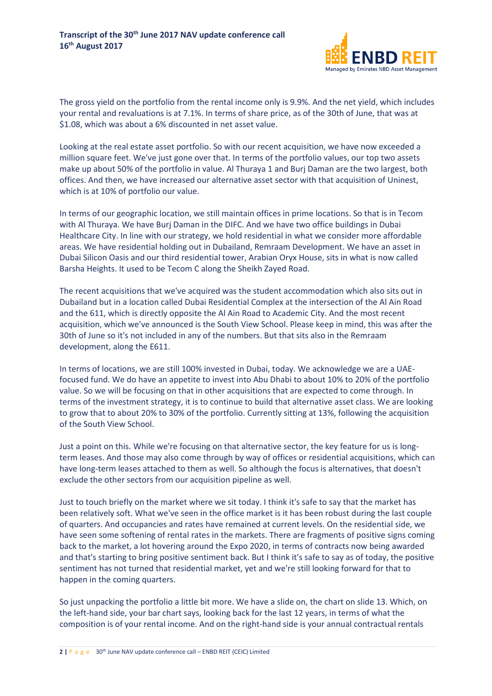

The gross yield on the portfolio from the rental income only is 9.9%. And the net yield, which includes your rental and revaluations is at 7.1%. In terms of share price, as of the 30th of June, that was at \$1.08, which was about a 6% discounted in net asset value.

Looking at the real estate asset portfolio. So with our recent acquisition, we have now exceeded a million square feet. We've just gone over that. In terms of the portfolio values, our top two assets make up about 50% of the portfolio in value. Al Thuraya 1 and Burj Daman are the two largest, both offices. And then, we have increased our alternative asset sector with that acquisition of Uninest, which is at 10% of portfolio our value.

In terms of our geographic location, we still maintain offices in prime locations. So that is in Tecom with Al Thuraya. We have Burj Daman in the DIFC. And we have two office buildings in Dubai Healthcare City. In line with our strategy, we hold residential in what we consider more affordable areas. We have residential holding out in Dubailand, Remraam Development. We have an asset in Dubai Silicon Oasis and our third residential tower, Arabian Oryx House, sits in what is now called Barsha Heights. It used to be Tecom C along the Sheikh Zayed Road.

The recent acquisitions that we've acquired was the student accommodation which also sits out in Dubailand but in a location called Dubai Residential Complex at the intersection of the Al Ain Road and the 611, which is directly opposite the Al Ain Road to Academic City. And the most recent acquisition, which we've announced is the South View School. Please keep in mind, this was after the 30th of June so it's not included in any of the numbers. But that sits also in the Remraam development, along the E611.

In terms of locations, we are still 100% invested in Dubai, today. We acknowledge we are a UAEfocused fund. We do have an appetite to invest into Abu Dhabi to about 10% to 20% of the portfolio value. So we will be focusing on that in other acquisitions that are expected to come through. In terms of the investment strategy, it is to continue to build that alternative asset class. We are looking to grow that to about 20% to 30% of the portfolio. Currently sitting at 13%, following the acquisition of the South View School.

Just a point on this. While we're focusing on that alternative sector, the key feature for us is longterm leases. And those may also come through by way of offices or residential acquisitions, which can have long-term leases attached to them as well. So although the focus is alternatives, that doesn't exclude the other sectors from our acquisition pipeline as well.

Just to touch briefly on the market where we sit today. I think it's safe to say that the market has been relatively soft. What we've seen in the office market is it has been robust during the last couple of quarters. And occupancies and rates have remained at current levels. On the residential side, we have seen some softening of rental rates in the markets. There are fragments of positive signs coming back to the market, a lot hovering around the Expo 2020, in terms of contracts now being awarded and that's starting to bring positive sentiment back. But I think it's safe to say as of today, the positive sentiment has not turned that residential market, yet and we're still looking forward for that to happen in the coming quarters.

So just unpacking the portfolio a little bit more. We have a slide on, the chart on slide 13. Which, on the left-hand side, your bar chart says, looking back for the last 12 years, in terms of what the composition is of your rental income. And on the right-hand side is your annual contractual rentals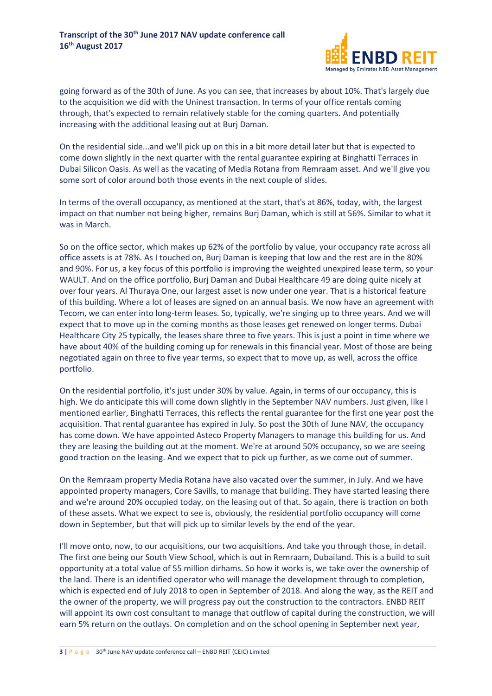

going forward as of the 30th of June. As you can see, that increases by about 10%. That's largely due to the acquisition we did with the Uninest transaction. In terms of your office rentals coming through, that's expected to remain relatively stable for the coming quarters. And potentially increasing with the additional leasing out at Burj Daman.

On the residential side...and we'll pick up on this in a bit more detail later but that is expected to come down slightly in the next quarter with the rental guarantee expiring at Binghatti Terraces in Dubai Silicon Oasis. As well as the vacating of Media Rotana from Remraam asset. And we'll give you some sort of color around both those events in the next couple of slides.

In terms of the overall occupancy, as mentioned at the start, that's at 86%, today, with, the largest impact on that number not being higher, remains Burj Daman, which is still at 56%. Similar to what it was in March.

So on the office sector, which makes up 62% of the portfolio by value, your occupancy rate across all office assets is at 78%. As I touched on, Burj Daman is keeping that low and the rest are in the 80% and 90%. For us, a key focus of this portfolio is improving the weighted unexpired lease term, so your WAULT. And on the office portfolio, Burj Daman and Dubai Healthcare 49 are doing quite nicely at over four years. Al Thuraya One, our largest asset is now under one year. That is a historical feature of this building. Where a lot of leases are signed on an annual basis. We now have an agreement with Tecom, we can enter into long-term leases. So, typically, we're singing up to three years. And we will expect that to move up in the coming months as those leases get renewed on longer terms. Dubai Healthcare City 25 typically, the leases share three to five years. This is just a point in time where we have about 40% of the building coming up for renewals in this financial year. Most of those are being negotiated again on three to five year terms, so expect that to move up, as well, across the office portfolio.

On the residential portfolio, it's just under 30% by value. Again, in terms of our occupancy, this is high. We do anticipate this will come down slightly in the September NAV numbers. Just given, like I mentioned earlier, Binghatti Terraces, this reflects the rental guarantee for the first one year post the acquisition. That rental guarantee has expired in July. So post the 30th of June NAV, the occupancy has come down. We have appointed Asteco Property Managers to manage this building for us. And they are leasing the building out at the moment. We're at around 50% occupancy, so we are seeing good traction on the leasing. And we expect that to pick up further, as we come out of summer.

On the Remraam property Media Rotana have also vacated over the summer, in July. And we have appointed property managers, Core Savills, to manage that building. They have started leasing there and we're around 20% occupied today, on the leasing out of that. So again, there is traction on both of these assets. What we expect to see is, obviously, the residential portfolio occupancy will come down in September, but that will pick up to similar levels by the end of the year.

I'll move onto, now, to our acquisitions, our two acquisitions. And take you through those, in detail. The first one being our South View School, which is out in Remraam, Dubailand. This is a build to suit opportunity at a total value of 55 million dirhams. So how it works is, we take over the ownership of the land. There is an identified operator who will manage the development through to completion, which is expected end of July 2018 to open in September of 2018. And along the way, as the REIT and the owner of the property, we will progress pay out the construction to the contractors. ENBD REIT will appoint its own cost consultant to manage that outflow of capital during the construction, we will earn 5% return on the outlays. On completion and on the school opening in September next year,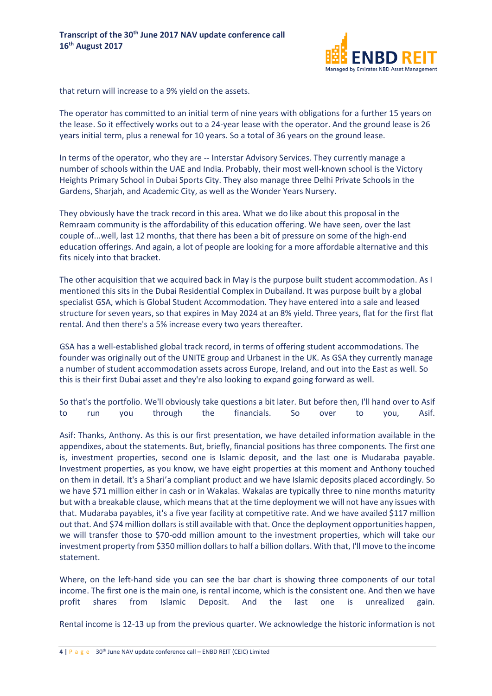

that return will increase to a 9% yield on the assets.

The operator has committed to an initial term of nine years with obligations for a further 15 years on the lease. So it effectively works out to a 24-year lease with the operator. And the ground lease is 26 years initial term, plus a renewal for 10 years. So a total of 36 years on the ground lease.

In terms of the operator, who they are -- Interstar Advisory Services. They currently manage a number of schools within the UAE and India. Probably, their most well-known school is the Victory Heights Primary School in Dubai Sports City. They also manage three Delhi Private Schools in the Gardens, Sharjah, and Academic City, as well as the Wonder Years Nursery.

They obviously have the track record in this area. What we do like about this proposal in the Remraam community is the affordability of this education offering. We have seen, over the last couple of...well, last 12 months, that there has been a bit of pressure on some of the high-end education offerings. And again, a lot of people are looking for a more affordable alternative and this fits nicely into that bracket.

The other acquisition that we acquired back in May is the purpose built student accommodation. As I mentioned this sits in the Dubai Residential Complex in Dubailand. It was purpose built by a global specialist GSA, which is Global Student Accommodation. They have entered into a sale and leased structure for seven years, so that expires in May 2024 at an 8% yield. Three years, flat for the first flat rental. And then there's a 5% increase every two years thereafter.

GSA has a well-established global track record, in terms of offering student accommodations. The founder was originally out of the UNITE group and Urbanest in the UK. As GSA they currently manage a number of student accommodation assets across Europe, Ireland, and out into the East as well. So this is their first Dubai asset and they're also looking to expand going forward as well.

So that's the portfolio. We'll obviously take questions a bit later. But before then, I'll hand over to Asif to run you through the financials. So over to you, Asif.

Asif: Thanks, Anthony. As this is our first presentation, we have detailed information available in the appendixes, about the statements. But, briefly, financial positions has three components. The first one is, investment properties, second one is Islamic deposit, and the last one is Mudaraba payable. Investment properties, as you know, we have eight properties at this moment and Anthony touched on them in detail. It's a Shari'a compliant product and we have Islamic deposits placed accordingly. So we have \$71 million either in cash or in Wakalas. Wakalas are typically three to nine months maturity but with a breakable clause, which means that at the time deployment we will not have any issues with that. Mudaraba payables, it's a five year facility at competitive rate. And we have availed \$117 million out that. And \$74 million dollars is still available with that. Once the deployment opportunities happen, we will transfer those to \$70-odd million amount to the investment properties, which will take our investment property from \$350 million dollars to half a billion dollars. With that, I'll move to the income statement.

Where, on the left-hand side you can see the bar chart is showing three components of our total income. The first one is the main one, is rental income, which is the consistent one. And then we have profit shares from Islamic Deposit. And the last one is unrealized gain.

Rental income is 12-13 up from the previous quarter. We acknowledge the historic information is not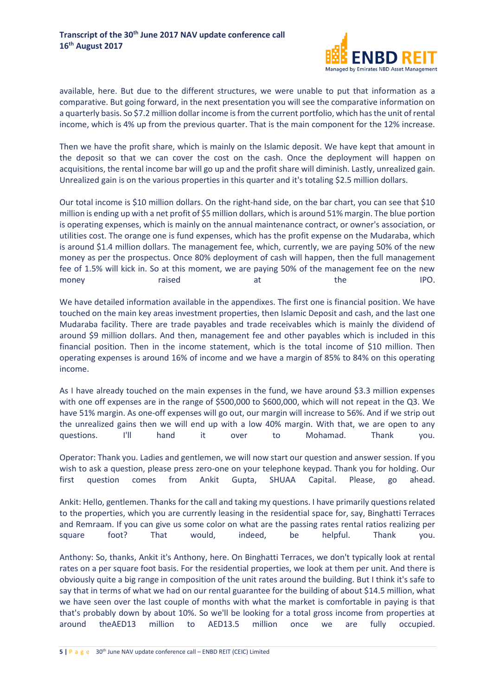

available, here. But due to the different structures, we were unable to put that information as a comparative. But going forward, in the next presentation you will see the comparative information on a quarterly basis. So \$7.2 million dollar income is from the current portfolio, which has the unit of rental income, which is 4% up from the previous quarter. That is the main component for the 12% increase.

Then we have the profit share, which is mainly on the Islamic deposit. We have kept that amount in the deposit so that we can cover the cost on the cash. Once the deployment will happen on acquisitions, the rental income bar will go up and the profit share will diminish. Lastly, unrealized gain. Unrealized gain is on the various properties in this quarter and it's totaling \$2.5 million dollars.

Our total income is \$10 million dollars. On the right-hand side, on the bar chart, you can see that \$10 million is ending up with a net profit of \$5 million dollars, which is around 51% margin. The blue portion is operating expenses, which is mainly on the annual maintenance contract, or owner's association, or utilities cost. The orange one is fund expenses, which has the profit expense on the Mudaraba, which is around \$1.4 million dollars. The management fee, which, currently, we are paying 50% of the new money as per the prospectus. Once 80% deployment of cash will happen, then the full management fee of 1.5% will kick in. So at this moment, we are paying 50% of the management fee on the new money maised at the IPO.

We have detailed information available in the appendixes. The first one is financial position. We have touched on the main key areas investment properties, then Islamic Deposit and cash, and the last one Mudaraba facility. There are trade payables and trade receivables which is mainly the dividend of around \$9 million dollars. And then, management fee and other payables which is included in this financial position. Then in the income statement, which is the total income of \$10 million. Then operating expenses is around 16% of income and we have a margin of 85% to 84% on this operating income.

As I have already touched on the main expenses in the fund, we have around \$3.3 million expenses with one off expenses are in the range of \$500,000 to \$600,000, which will not repeat in the Q3. We have 51% margin. As one-off expenses will go out, our margin will increase to 56%. And if we strip out the unrealized gains then we will end up with a low 40% margin. With that, we are open to any questions. I'll hand it over to Mohamad. Thank you.

Operator: Thank you. Ladies and gentlemen, we will now start our question and answer session. If you wish to ask a question, please press zero-one on your telephone keypad. Thank you for holding. Our first question comes from Ankit Gupta, SHUAA Capital. Please, go ahead.

Ankit: Hello, gentlemen. Thanks for the call and taking my questions. I have primarily questions related to the properties, which you are currently leasing in the residential space for, say, Binghatti Terraces and Remraam. If you can give us some color on what are the passing rates rental ratios realizing per square foot? That would, indeed, be helpful. Thank you.

Anthony: So, thanks, Ankit it's Anthony, here. On Binghatti Terraces, we don't typically look at rental rates on a per square foot basis. For the residential properties, we look at them per unit. And there is obviously quite a big range in composition of the unit rates around the building. But I think it's safe to say that in terms of what we had on our rental guarantee for the building of about \$14.5 million, what we have seen over the last couple of months with what the market is comfortable in paying is that that's probably down by about 10%. So we'll be looking for a total gross income from properties at around theAED13 million to AED13.5 million once we are fully occupied.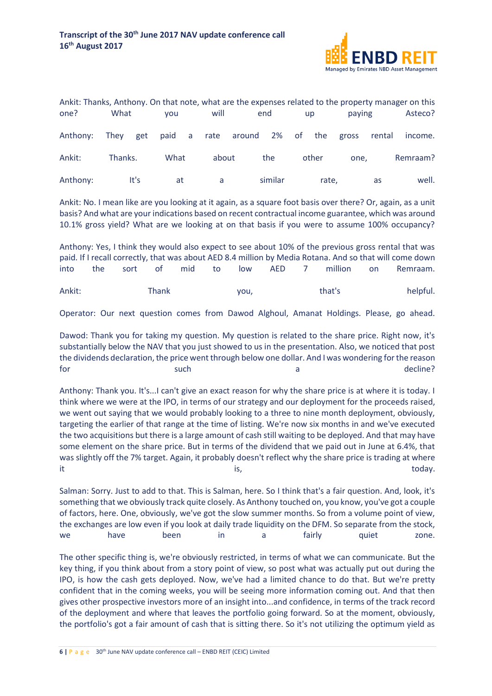

| Ankit: Thanks, Anthony. On that note, what are the expenses related to the property manager on this |         |      |      |  |       |                                       |         |  |           |        |        |          |
|-----------------------------------------------------------------------------------------------------|---------|------|------|--|-------|---------------------------------------|---------|--|-----------|--------|--------|----------|
| one?                                                                                                | What    |      | vou  |  | will  |                                       | end     |  | <b>up</b> | paying |        | Asteco?  |
| Anthony:                                                                                            |         |      |      |  |       | They get paid a rate around 2% of the |         |  |           | gross  | rental | income.  |
| Ankit:                                                                                              | Thanks. |      | What |  | about |                                       | the     |  | other     | one.   |        | Remraam? |
| Anthony:                                                                                            |         | It's | at   |  | a     |                                       | similar |  | rate,     |        | as     | well.    |

Ankit: No. I mean like are you looking at it again, as a square foot basis over there? Or, again, as a unit basis? And what are your indications based on recent contractual income guarantee, which was around 10.1% gross yield? What are we looking at on that basis if you were to assume 100% occupancy?

|        |     |         |       |        |      |           |         |      | Anthony: Yes, I think they would also expect to see about 10% of the previous gross rental that was     |
|--------|-----|---------|-------|--------|------|-----------|---------|------|---------------------------------------------------------------------------------------------------------|
|        |     |         |       |        |      |           |         |      | paid. If I recall correctly, that was about AED 8.4 million by Media Rotana. And so that will come down |
| into   | the | sort of |       | mid to |      | low AFD 7 | million | n on | Remraam.                                                                                                |
| Ankit: |     |         | Thank |        | vou, |           | that's  |      | helpful.                                                                                                |

Operator: Our next question comes from Dawod Alghoul, Amanat Holdings. Please, go ahead.

Dawod: Thank you for taking my question. My question is related to the share price. Right now, it's substantially below the NAV that you just showed to us in the presentation. Also, we noticed that post the dividends declaration, the price went through below one dollar. And I was wondering for the reason for the such that is such a contract the such a decline?

Anthony: Thank you. It's...I can't give an exact reason for why the share price is at where it is today. I think where we were at the IPO, in terms of our strategy and our deployment for the proceeds raised, we went out saying that we would probably looking to a three to nine month deployment, obviously, targeting the earlier of that range at the time of listing. We're now six months in and we've executed the two acquisitions but there is a large amount of cash still waiting to be deployed. And that may have some element on the share price. But in terms of the dividend that we paid out in June at 6.4%, that was slightly off the 7% target. Again, it probably doesn't reflect why the share price is trading at where it the contract of the contract of the contract of the contract of the contract of the contract of the contract of the contract of the contract of the contract of the contract of the contract of the contract of the contrac

Salman: Sorry. Just to add to that. This is Salman, here. So I think that's a fair question. And, look, it's something that we obviously track quite closely. As Anthony touched on, you know, you've got a couple of factors, here. One, obviously, we've got the slow summer months. So from a volume point of view, the exchanges are low even if you look at daily trade liquidity on the DFM. So separate from the stock, we have been in a fairly quiet zone.

The other specific thing is, we're obviously restricted, in terms of what we can communicate. But the key thing, if you think about from a story point of view, so post what was actually put out during the IPO, is how the cash gets deployed. Now, we've had a limited chance to do that. But we're pretty confident that in the coming weeks, you will be seeing more information coming out. And that then gives other prospective investors more of an insight into...and confidence, in terms of the track record of the deployment and where that leaves the portfolio going forward. So at the moment, obviously, the portfolio's got a fair amount of cash that is sitting there. So it's not utilizing the optimum yield as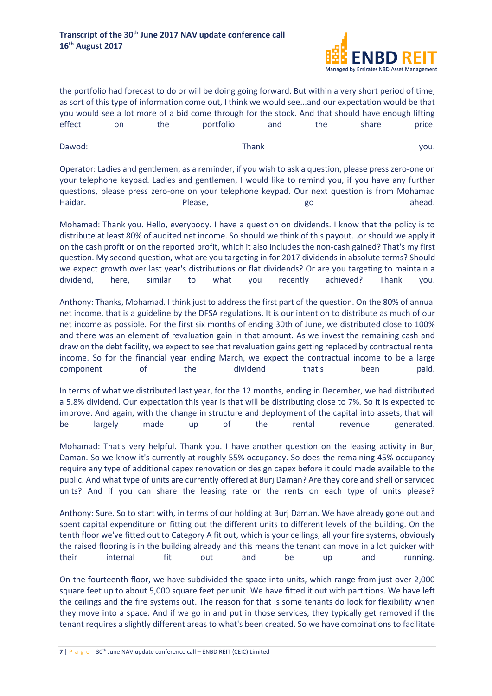

the portfolio had forecast to do or will be doing going forward. But within a very short period of time, as sort of this type of information come out, I think we would see...and our expectation would be that you would see a lot more of a bid come through for the stock. And that should have enough lifting effect on the portfolio and the share price.

Dawod: Thank Thank Thank you. Operator: Ladies and gentlemen, as a reminder, if you wish to ask a question, please press zero-one on your telephone keypad. Ladies and gentlemen, I would like to remind you, if you have any further questions, please press zero-one on your telephone keypad. Our next question is from Mohamad

Haidar. **An amazon and a Please**, a control and a go a control a head.

Mohamad: Thank you. Hello, everybody. I have a question on dividends. I know that the policy is to distribute at least 80% of audited net income. So should we think of this payout...or should we apply it on the cash profit or on the reported profit, which it also includes the non-cash gained? That's my first question. My second question, what are you targeting in for 2017 dividends in absolute terms? Should we expect growth over last year's distributions or flat dividends? Or are you targeting to maintain a dividend, here, similar to what you recently achieved? Thank you.

Anthony: Thanks, Mohamad. I think just to address the first part of the question. On the 80% of annual net income, that is a guideline by the DFSA regulations. It is our intention to distribute as much of our net income as possible. For the first six months of ending 30th of June, we distributed close to 100% and there was an element of revaluation gain in that amount. As we invest the remaining cash and draw on the debt facility, we expect to see that revaluation gains getting replaced by contractual rental income. So for the financial year ending March, we expect the contractual income to be a large component of the dividend that's been paid.

In terms of what we distributed last year, for the 12 months, ending in December, we had distributed a 5.8% dividend. Our expectation this year is that will be distributing close to 7%. So it is expected to improve. And again, with the change in structure and deployment of the capital into assets, that will be largely made up of the rental revenue generated.

Mohamad: That's very helpful. Thank you. I have another question on the leasing activity in Burj Daman. So we know it's currently at roughly 55% occupancy. So does the remaining 45% occupancy require any type of additional capex renovation or design capex before it could made available to the public. And what type of units are currently offered at Burj Daman? Are they core and shell or serviced units? And if you can share the leasing rate or the rents on each type of units please?

Anthony: Sure. So to start with, in terms of our holding at Burj Daman. We have already gone out and spent capital expenditure on fitting out the different units to different levels of the building. On the tenth floor we've fitted out to Category A fit out, which is your ceilings, all your fire systems, obviously the raised flooring is in the building already and this means the tenant can move in a lot quicker with their internal fit out and be up and running.

On the fourteenth floor, we have subdivided the space into units, which range from just over 2,000 square feet up to about 5,000 square feet per unit. We have fitted it out with partitions. We have left the ceilings and the fire systems out. The reason for that is some tenants do look for flexibility when they move into a space. And if we go in and put in those services, they typically get removed if the tenant requires a slightly different areas to what's been created. So we have combinations to facilitate